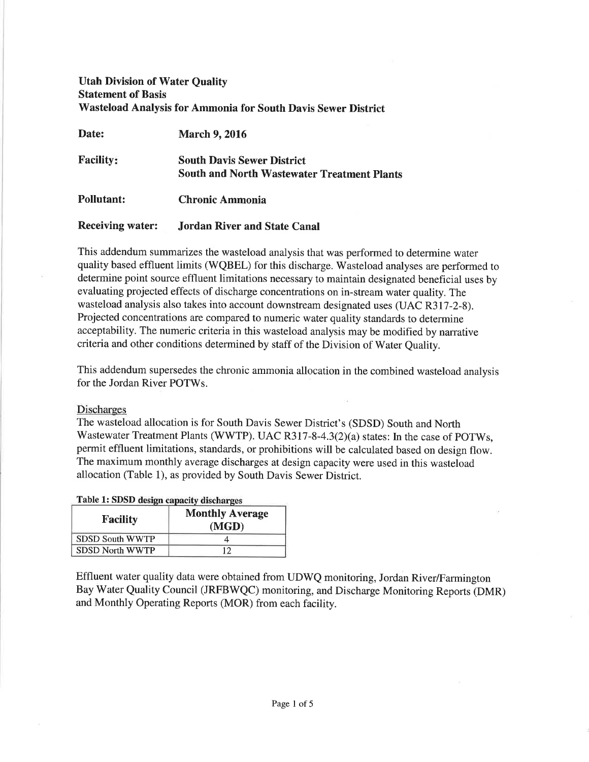# Utah Division of Water Quality Statement of Basis Wasteload Analysis for Ammonia for South Davis Sewer District

| Date:                   | <b>March 9, 2016</b>                                                                    |
|-------------------------|-----------------------------------------------------------------------------------------|
| <b>Facility:</b>        | <b>South Davis Sewer District</b><br><b>South and North Wastewater Treatment Plants</b> |
| Pollutant:              | <b>Chronic Ammonia</b>                                                                  |
| <b>Receiving water:</b> | <b>Jordan River and State Canal</b>                                                     |

This addendum summarizes the wasteload analysis that was performed to determine water quality based effluent limits (WQBEL) for this discharge. Wasteload analyses are performed to determine point source effluent limitations necessary to maintain designated beneficial uses by evaluating projected effects of discharge concentrations on in-stream water quality. The wasteload analysis also takes into account downstream designated uses (UAC R317-2-8). Projected concentrations are compared to numeric water quality standards to determine acceptability. The numeric criteria in this wasteload analysis may be modified by narrative criteria and other conditions determined by staff of the Division of Water Quality.

This addendum supersedes the chronic ammonia allocation in the combined wasteload analysis for the Jordan River POTWs.

## Discharges

The wasteload allocation is for South Davis Sewer District's (SDSD) South and North Wastewater Treatment Plants (WWTP). UAC R317-8-4.3(2)(a) states: In the case of POTWs, permit effluent limitations, standards, or prohibitions will be calculated based on design flow. The maximum monthly average discharges at design capacity were used in this wasteload allocation (Table 1), as provided by South Davis Sewer District.

| <b>Facility</b>        | <b>Monthly Average</b><br>(MGD) |
|------------------------|---------------------------------|
| SDSD South WWTP        |                                 |
| <b>SDSD North WWTP</b> | م،                              |

# Table 1: SDSD

Effluent water quality data were obtained from UDWQ monitoring, Jordan River/Farmington Bay Water Quality Council (JRFBWQC) monitoring, and Discharge Monitoring Reports (DMR) and Monthly Operating Reports (MOR) from each facility.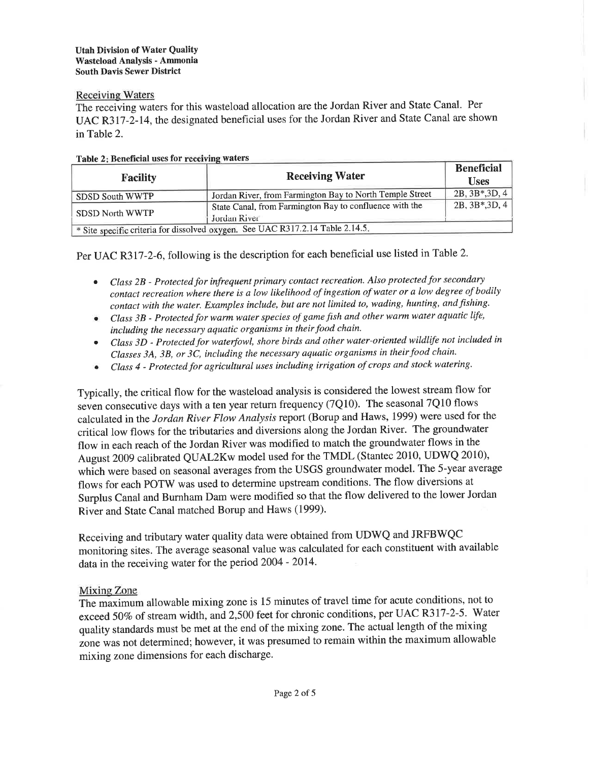# Receiving Waters

The receiving waters for this wasteload allocation are the Jordan River and State Canal. Per UAC R317-2-14, the designated beneficial uses for the Jordan River and State Canal are shown in Table 2.

| I MINIC BY INCIRCLICIAN WOOD AVE A COURT FROM THEFT OF<br><b>Facility</b> | <b>Receiving Water</b>                                                         | <b>Beneficial</b><br><b>Uses</b> |
|---------------------------------------------------------------------------|--------------------------------------------------------------------------------|----------------------------------|
| SDSD South WWTP                                                           | Jordan River, from Farmington Bay to North Temple Street                       | $2B, 3B*, 3D, 4$                 |
| <b>SDSD North WWTP</b>                                                    | State Canal, from Farmington Bay to confluence with the<br>Jordan River        | $2B, 3B*, 3D, 4$                 |
|                                                                           | * Site specific criteria for dissolved oxygen. See UAC R317.2.14 Table 2.14.5. |                                  |

## Table 2: Beneficial uses for receiving waters

per UAC R3t7-2-6, following is the description for each beneficial use listed in Tabte2.

- Class 2B Protected for infrequent primary contact recreation. Also protected for secondary contact recreation where there is a low likelihood of ingestion of water or a low degree of bodily contact with the water. Examples include, but are not limited to, wading, hunting, and fishing.
- Class 3B Protected for warm water species of game fish and other warm water aquatic life, including the necessary aquatic organisms in their food chain.
- Class 3D Protected for waterfowl, shore birds and other water-oriented wildlife not included in Classes 3A, 3B, or 3C, including the necessary aquatic organisms in their food chain.
- o Class 4 Protected for agricultural uses including irrigøtion of crops and stock watering.

Typically, the critical flow for the wasteload analysis is considered the lowest stream flow for seven consecutive days with a ten year return frequency (7Q10). The seasonal 7Q10 flows calculated in the Jordan River Flow Analysis report (Borup and Haws, 1999) were used for the critical low flows for the tributaries and diversions along the Jordan River. The groundwater flow in each reach of the Jordan River was modified to match the groundwater flows in the August 2009 calibrated QUAL2Kw model used for the TMDL (Stantec 2010, UDWQ 2010), which were based on seasonal averages from the USGS groundwater model. The 5-year average flows for each POTW was used to determine upstream conditions. The flow diversions at Surplus Canal and Burnham Dam were modified so that the flow delivered to the lower Jordan River and State Canal matched Borup and Haws (1999).

Receiving and tributary water quality data were obtained from UDWQ and JRFBWQC monitoring sites. The average seasonal value was calculated for each constituent with available data in the receiving water for the period 2004 - 2014.

# Mixing Zone

The maximum allowable mixing zone is 15 minutes of travel time for acute conditions, not to exceed 50% of stream width, and 2,500 feet for chronic conditions, per UAC R317-2-5. Water quality standards must be met at the end of the mixing zone. The actual length of the mixing zone was not determined; however, it was presumed to remain within the maximum allowable mixing zone dimensions for each discharge.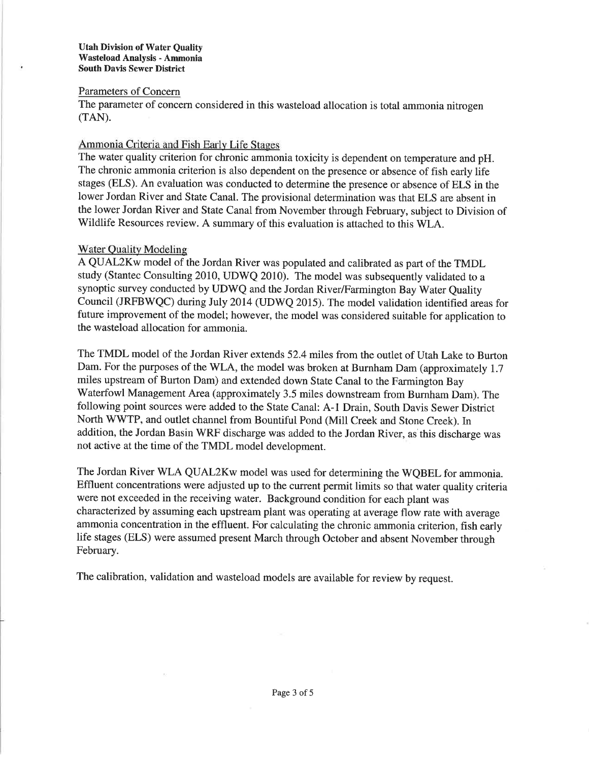### Utah Division of Water Quality Wasteload Analysis - Ammonia South Davis Sewer District

## Parameters of Concern

The parameter of concern considered in this wasteload allocation is total ammonia nitrogen  $(TAN)$ .

# Ammonia Criteria and Fish Earlv Life Stages

The water quality criterion for chronic ammonia toxicity is dependent on temperature and pH. The chronic ammonia criterion is also dependent on the presence or absence of fish early life stages (ELS). An evaluation was conducted to determine the presence or absence of ELS in the lower Jordan River and State Canal. The provisional determination was that ELS are absent in the lower Jordan River and State Canal from November through February, subject to Division of Wildlife Resources review. A summary of this evaluation is attached to this WLA.

# 'Water Ouality Modeling

A QUAL2Kw model of the Jordan River was populated and calibrated as part of the TMDL study (Stantec Consulting 2010, UDWQ 2010). The model was subsequently validated to <sup>a</sup> synoptic survey conducted by UDWQ and the Jordan River/Farmington Bay Water Quality Council (JRFBIVQC) during July 2014 (UDWQ 2015). The model validation identified areas for future improvement of the model; however, the model was considered suitable for application to the wasteload allocation for ammonia.

The TMDL model of the Jordan River extends 52.4 miles from the outlet of Utah Lake to Burton Dam. For the purposes of the WLA, the model was broken at Burnham Dam (approximately 1.7 miles upstream of Burton Dam) and extended down State Canal to the Farmington Bay Waterfowl Management Area (approximately 3.5 miles downstream from Burnham Dam). The following point sources were added to the State Canal: A-1 Drain, South Davis Sewer District North WWTP, and outlet channel from Bountiful Pond (Mill Creek and Stone Creek). In addition, the Jordan Basin WRF discharge was added to the Jordan River, as this discharge was not active at the time of the TMDL model development.

The Jordan River WLA QUAL2Kw model was used for determining the WQBEL for ammonia. Effluent concentrations were adjusted up to the current permit limits so that water quality criteria were not exceeded in the receiving water. Background condition for each plant was characterized by assuming each upstream plant was operating at average flow rate with average ammonia concentration in the effluent. For calculating the chronic ammonia criterion, fish early life stages (ELS) were assumed present March through October and absent November through February.

The calibration, validation and wasteload models are available for review by request.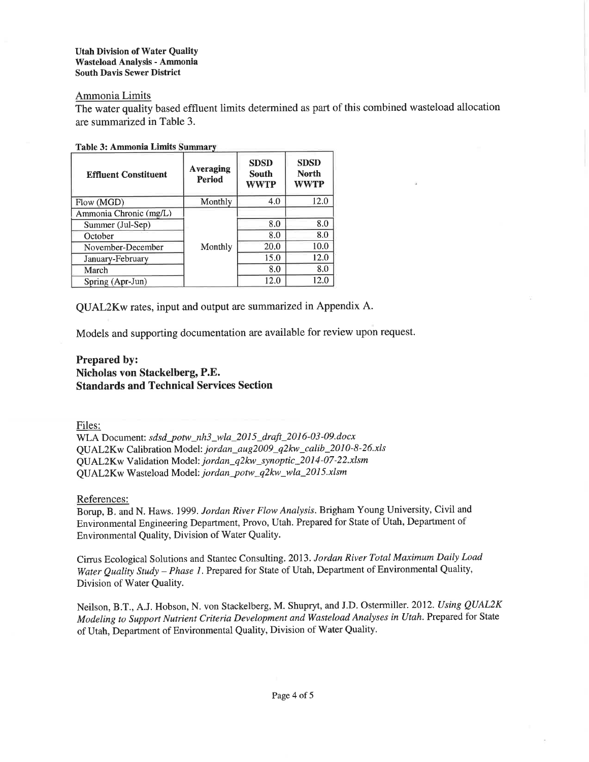### Utah Division of Water Quality Wasteload Analysis - Ammonia South Davis Sewer District

# Ammonia Limits

The water quality based effluent limits determined as part of this combined wasteload allocation are summarized in Table 3.

| <b>Table 3: Ammonia Limits Summary</b> |  |
|----------------------------------------|--|
|----------------------------------------|--|

| <b>Effluent Constituent</b> | Averaging<br><b>Period</b> | <b>SDSD</b><br>South<br><b>WWTP</b> | <b>SDSD</b><br><b>North</b><br>WWTP |
|-----------------------------|----------------------------|-------------------------------------|-------------------------------------|
| Flow (MGD)                  | Monthly                    | 4.0                                 | 12.0                                |
| Ammonia Chronic (mg/L)      |                            |                                     |                                     |
| Summer (Jul-Sep)            |                            | 8.0                                 | 8.0                                 |
| October                     |                            | 8.0                                 | 8.0                                 |
| November-December           | Monthly                    | 20.0                                | 10.0                                |
| January-February            |                            | 15.0                                | 12.0                                |
| March                       |                            | 8.0                                 | 8.0                                 |
| Spring (Apr-Jun)            |                            | 12.0                                | 12.0                                |

QUAL2Kw rates, input and output are summarized in Appendix A.

Models and supporting documentation are available for review upon request.

# Prepared by: Nicholas von Stackelberg, P.E. Standards and Technical Services Section

Files:

WLA Document:  $sds\_{potw_nh}$   $h\rightarrow$   $wla/2015\_{dr}$   $dr$   $dt$   $t$   $2016-03-09$ .  $docx$ WER Boodment: state\_pow\_nte\_nte\_set =\_aug.pdf<br>QUAL2Kw Calibration Model: jordan\_aug2009\_q2kw\_calib\_2010-8-26.xls QUAL2Kw Validation Model: jordan\_q2kw\_synoptic\_2014-07-22.xlsm QUAL2Kw Wasteload Model: *jordan\_potw\_q2kw\_wla\_2015.xlsm* 

References:

Borup, B. and N. Haws. 1999. Jordan River Flow Analysis. Brigham Young University, Civil and Environmental Engineering Department, Provo, Utah. Prepared for State of Utah, Department of Environmental Quality, Division of Water Quality.

Cirrus Ecological Solutions and Stantec Consulting. 2013. Jordan River Total Maximum Daily Load Water Quality Study - Phase 1. Prepared for State of Utah, Department of Environmental Quality, Division of Water Quality.

Neilson, B.T., A.J. Hobson, N. von Stackelberg, M. Shupryt, and J.D. Ostermiller. 2012. Using QUAL2K Modeling to Support Nutrient Criteria Development and Wasteload Analyses in Utah. Prepared for State of Utah, Department of Environmental Quality, Division of Water Quality.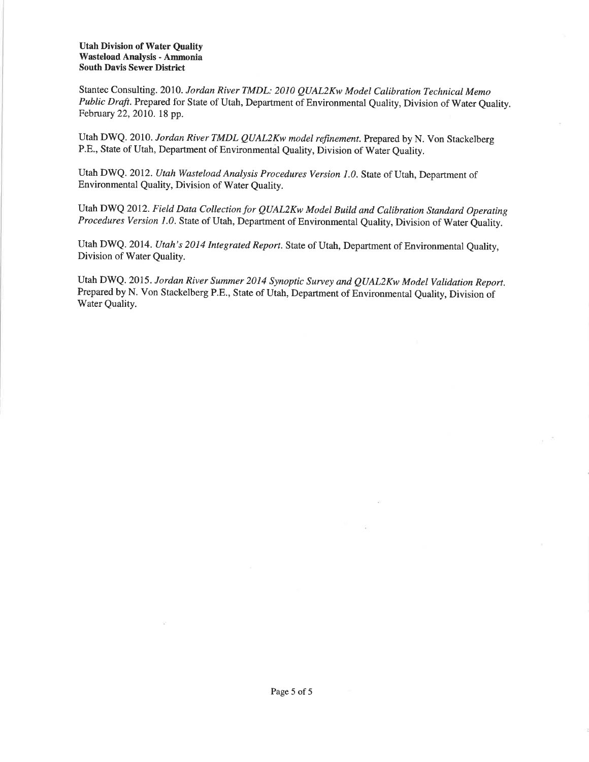### Utah Division of Water Quality Wasteload Analysis - Ammonia South Davis Sewer District

Stantec Consulting. 2010. Jordan River TMDL: 2010 QUAL2Kw Model Calibration Technical Memo Public Draft. Prepared for State of Utah, Department of Environmental Quality, Division of Water Quality. February 22,2010. 18 pp.

Utah DWQ. 2010. Jordan River TMDL QUAL2Kw model refinement. Prepared by N. Von Stackelberg P.E., State of Utah, Department of Environmental Quality, Division of Water Quality.

Utah DWQ. 2012. Utah Wasteload Analysis Procedures Version 1.0. State of Utah, Department of Environmental Quality, Division of Water Quality.

Utah DWQ 2012. Field Data Collection for QUAL2Kw Model Build and Calibration Standard Operating Procedures Version 1.0. State of Utah, Department of Environmental Quality, Division of Water Quality.

Utah DWQ. 2014. Utah's 2014 Integrated Report. State of Utah, Department of Environmental Quality, Division of Water Quality.

Utah DWQ. 2015. Jordan River Summer 2014 Synoptic Survey and QUAL2Kw Model Validation Report. Prepared by N. Von Stackelberg P.E., State of Utah, Department of Environmental Quality, Division of Water Quality.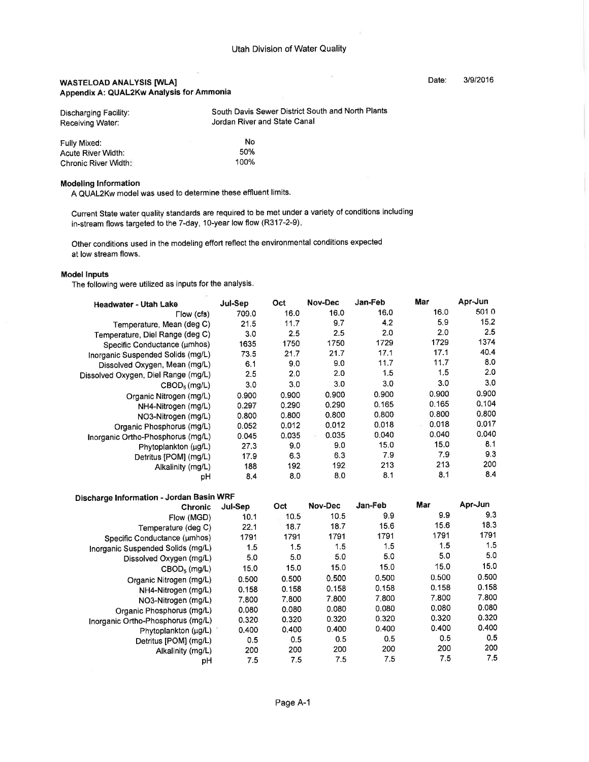$\bar{z}_0$ 

### WASTELOAD ANALYSIS [WLA] Appendix A: QUAL2Kw Analysis for Ammonia

| Discharging Facility: | South Davis Sewer District South and North Plants |
|-----------------------|---------------------------------------------------|
| Receiving Water:      | Jordan River and State Canal                      |
| Fully Mixed:          | Nο                                                |

#### Acute River Width: Chronic River Width: 500/6 100%

### Modeling Information

A QUAL2Kw model was used to determine these effluent limits.

Current State water quality standards are required to be met under a variety of conditions including in-stream flows targeted to the 7-day, 10-year low flow (R317-2-9).

Other conditions used in the modeling effort reflect the environmental conditions expected at low stream flows.

### Model lnputs

The following were utilized as inputs for the analysis.

| Headwater - Utah Lake               | Jul-Sep | Oct   | Nov-Dec | Jan-Feb | Mar   | Apr-Jun |
|-------------------------------------|---------|-------|---------|---------|-------|---------|
| $\Gamma$ low (cfs)                  | 709.0   | 16.0  | 16.0    | 16.0    | 16.0  | 5010    |
| Temperature, Mean (deg C)           | 21.5    | 11.7  | 9.7     | 4.2     | 5.9   | 15.2    |
| Temperature, Diel Range (deg C)     | 3.0     | 2.5   | 2.5     | 2.0     | 2.0   | 2.5     |
| Specific Conductance (umhos)        | 1635    | 1750  | 1750    | 1729    | 1729  | 1374    |
| Inorganic Suspended Solids (mg/L)   | 73.5    | 21.7  | 21.7    | 17.1    | 17.1  | 40.4    |
| Dissolved Oxygen, Mean (mg/L)       | 6.1     | 9.0   | 9.0     | 11.7    | 11.7  | 8.0     |
| Dissolved Oxygen, Diel Range (mg/L) | 2.5     | 2.0   | 2.0     | 1.5     | 1.5   | 2.0     |
| CBOD <sub>5</sub> (mg/L)            | 3.0     | 3.0   | 3.0     | 3.0     | 3.0   | 3.0     |
| Organic Nitrogen (mg/L)             | 0.900   | 0.900 | 0.900   | 0.900   | 0.900 | 0.900   |
| NH4-Nitrogen (mg/L)                 | 0.297   | 0.290 | 0.290   | 0.165   | 0.165 | 0.104   |
| NO3-Nitrogen (mg/L)                 | 0.800   | 0.800 | 0.800   | 0.800   | 0.800 | 0.800   |
| Organic Phosphorus (mg/L)           | 0.052   | 0.012 | 0.012   | 0.018   | 0.018 | 0.017   |
| Inorganic Ortho-Phosphorus (mg/L)   | 0.045   | 0.035 | 0.035   | 0.040   | 0.040 | 0.040   |
| Phytoplankton (µg/L)                | 27.3    | 9.0   | 9.0     | 15.0    | 15.0  | 8.1     |
| Detritus [POM] (mg/L)               | 17.9    | 6.3   | 6.3     | 7.9     | 7.9   | 9.3     |
| Alkalinity (mg/L)                   | 188     | 192   | 192     | 213     | 213   | 200     |
| pН                                  | 8.4     | 8.0   | 8.0     | 8.1     | 8,1   | 8.4     |

| Discharge Information - Jordan Basin WRF |         |       |         |         |       |         |
|------------------------------------------|---------|-------|---------|---------|-------|---------|
| <b>Chronic</b>                           | Jul-Sep | Oct   | Nov-Dec | Jan-Feb | Mar   | Apr-Jun |
| Flow (MGD)                               | 10.1    | 10.5  | 10.5    | 9.9     | 9.9   | 9.3     |
| Temperature (deg C)                      | 22.1    | 18.7  | 18.7    | 15.6    | 15.6  | 18.3    |
| Specific Conductance (umhos)             | 1791    | 1791  | 1791    | 1791    | 1791  | 1791    |
| Inorganic Suspended Solids (mg/L)        | 1.5     | 1.5   | 1.5     | 1.5     | 1.5   | 1.5     |
| Dissolved Oxygen (mg/L)                  | 5.0     | 5.0   | 5.0     | 5.0     | 5.0   | 5.0     |
| $CBOD5$ (mg/L)                           | 15.0    | 15.0  | 15.0    | 15.0    | 15.0  | 15.0    |
| Organic Nitrogen (mg/L)                  | 0.500   | 0.500 | 0.500   | 0.500   | 0.500 | 0.500   |
| NH4-Nitrogen (mg/L)                      | 0.158   | 0.158 | 0.158   | 0.158   | 0.158 | 0.158   |
| NO3-Nitrogen (mg/L)                      | 7.800   | 7.800 | 7.800   | 7.800   | 7.800 | 7.800   |
| Organic Phosphorus (mg/L)                | 0.080   | 0.080 | 0.080   | 0.080   | 0.080 | 0.080   |
| Inorganic Ortho-Phosphorus (mg/L)        | 0.320   | 0.320 | 0.320   | 0.320   | 0.320 | 0.320   |
| Phytoplankton $(\mu g/L)$                | 0.400   | 0.400 | 0.400   | 0.400   | 0.400 | 0.400   |
| Detritus [POM] (mg/L)                    | 0.5     | 0.5   | 0.5     | 0.5     | 0.5   | 0.5     |
| Alkalinity (mg/L)                        | 200     | 200   | 200     | 200     | 200   | 200     |
| рH                                       | 7.5     | 7.5   | 7.5     | 7.5     | 7.5   | 7.5     |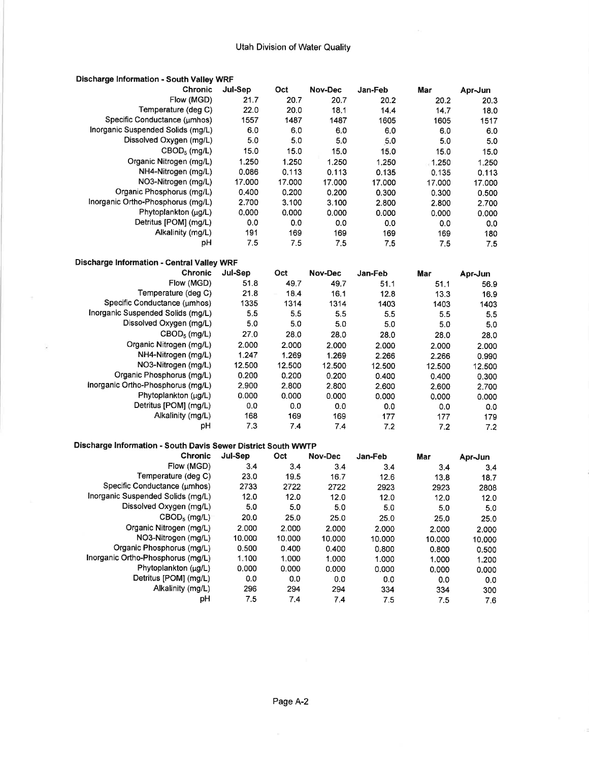| Discharge Information - South Valley WRF                      |         |        |         |         |          |         |  |
|---------------------------------------------------------------|---------|--------|---------|---------|----------|---------|--|
| Chronic                                                       | Jul-Sep | Oct    | Nov-Dec | Jan-Feb | Mar      | Apr-Jun |  |
| Flow (MGD)                                                    | 21.7    | 20.7   | 20.7    | 20.2    | 20.2     | 20.3    |  |
| Temperature (deg C)                                           | 22.0    | 20.0   | 18.1    | 14.4    | 14.7     | 18.0    |  |
| Specific Conductance (umhos)                                  | 1557    | 1487   | 1487    | 1605    | 1605     | 1517    |  |
| Inorganic Suspended Solids (mg/L)                             | 6.0     | 6.0    | 6.0     | 6.0     | 6.0      | 6.0     |  |
| Dissolved Oxygen (mg/L)                                       | 5.0     | 5.0    | 5.0     | 5.0     | 5.0      | 5.0     |  |
| $\text{CBOD}_5$ (mg/L)                                        | 15.0    | 15.0   | 15.0    | 15.0    | 15.0     | 15.0    |  |
| Organic Nitrogen (mg/L)                                       | 1.250   | 1.250  | 1.250   | 1.250   | $-1.250$ | 1.250   |  |
| NH4-Nitrogen (mg/L)                                           | 0.086   | 0.113  | 0.113   | 0.135   | 0.135    | 0.113   |  |
| NO3-Nitrogen (mg/L)                                           | 17.000  | 17.000 | 17.000  | 17.000  | 17.000   | 17.000  |  |
| Organic Phosphorus (mg/L)                                     | 0.400   | 0.200  | 0.200   | 0.300   | 0.300    | 0.500   |  |
| Inorganic Ortho-Phosphorus (mg/L)                             | 2.700   | 3.100  | 3.100   | 2.800   | 2.800    | 2.700   |  |
| Phytoplankton (µg/L)                                          | 0.000   | 0.000  | 0.000   | 0.000   | 0.000    | 0.000   |  |
| Detritus [POM] (mg/L)                                         | 0.0     | 0.0    | 0.0     | 0.0     | 0.0      | 0.0     |  |
| Alkalinity (mg/L)                                             | 191     | 169    | 169     | 169     | 169      | 180     |  |
| рH                                                            | 7.5     | 7.5    | 7.5     | 7.5     | 7.5      | 7.5     |  |
|                                                               |         |        |         |         |          |         |  |
| <b>Discharge Information - Central Valley WRF</b>             |         |        |         |         |          |         |  |
| <b>Chronic</b>                                                | Jul-Sep | Oct    | Nov-Dec | Jan-Feb | Mar      | Apr-Jun |  |
| Flow (MGD)                                                    | 51.8    | 49.7   | 49.7    | 51.1    | 51.1     | 56.9    |  |
| Temperature (deg C)                                           | 21.8    | 18.4   | 16.1    | 12.8    | 13.3     | 16.9    |  |
| Specific Conductance (umhos)                                  | 1335    | 1314   | 1314    | 1403    | 1403     | 1403    |  |
| Inorganic Suspended Solids (mg/L)                             | 5.5     | 5.5    | 5.5     | 5.5     | 5.5      | 5.5     |  |
| Dissolved Oxygen (mg/L)                                       | 5.0     | 5.0    | 5.0     | 5.0     | 5.0      | 5.0     |  |
| $CBOD_5$ (mg/L)                                               | 27.0    | 28.0   | 28.0    | 28.0    | 28.0     | 28.0    |  |
| Organic Nitrogen (mg/L)                                       | 2.000   | 2.000  | 2.000   | 2.000   | 2.000    | 2.000   |  |
| NH4-Nitrogen (mg/L)                                           | 1.247   | 1.269  | 1.269   | 2.266   | 2.266    | 0.990   |  |
| NO3-Nitrogen (mg/L)                                           | 12.500  | 12.500 | 12.500  | 12.500  | 12.500   | 12.500  |  |
| Organic Phosphorus (mg/L)                                     | 0.200   | 0.200  | 0.200   | 0.400   | 0.400    | 0.300   |  |
| Inorganic Ortho-Phosphorus (mg/L)                             | 2.900   | 2.800  | 2.800   | 2.600   | 2.600    | 2.700   |  |
| Phytoplankton (µg/L)                                          | 0.000   | 0.000  | 0.000   | 0.000   | 0.000    | 0.000   |  |
| Detritus [POM] (mg/L)                                         | 0.0     | 0.0    | 0.0     | 0.0     | 0.0      | 0.0     |  |
| Alkalinity (mg/L)                                             | 168     | 169    | 169     | 177     | 177      | 179     |  |
| рH                                                            | 7.3     | 7.4    | 7.4     | 7.2     | 7.2      | 7.2     |  |
|                                                               |         |        |         |         |          |         |  |
| Discharge Information - South Davis Sewer District South WWTP |         |        |         |         |          |         |  |
| Chronic                                                       | Jul-Sep | Oct    | Nov-Dec | Jan-Feb | Mar      | Apr-Jun |  |
| Flow (MGD)                                                    | 3.4     | 3.4    | 3.4     | 3.4     | 3.4      | 3.4     |  |
| Temperature (deg C)                                           | 23.0    | 19.5   | 16.7    | 12.6    | 13.8     | 18.7    |  |
| Specific Conductance (umhos)                                  | 2733    | 2722   | 2722    | 2923    | 2923     | 2808    |  |
| Inorganic Suspended Solids (mg/L)                             | 12.0    | 12.0   | 12.0    | 12.0    | 12.0     | 12.0    |  |
| Dissolved Oxygen (mg/L)                                       | 5.0     | 5.0    | 5.0     | 5.0     | 5.0      | 5.0     |  |
| CBOD <sub>5</sub> (mg/L)                                      | 20.0    | 25.0   | 25.0    | 25.0    | 25.0     | 25.0    |  |
| Organic Nitrogen (mg/L)                                       | 2.000   | 2.000  | 2.000   | 2.000   | 2.000    | 2.000   |  |
| NO3-Nitrogen (mg/L)                                           | 10.000  | 10.000 | 10.000  | 10.000  | 10.000   | 10.000  |  |
| Organic Phosphorus (mg/L)                                     | 0.500   | 0.400  | 0.400   | 0.800   | 0.800    | 0.500   |  |
| Inorganic Ortho-Phosphorus (mg/L)                             | 1.100   | 1.000  | 1.000   | 1.000   | 1.000    | 1.200   |  |
| Phytoplankton (µg/L)                                          | 0.000   | 0.000  | 0.000   | 0.000   | 0.000    | 0.000   |  |
| Detritus [POM] (mg/L)                                         | 0.0     | 0.0    | 0.0     | 0.0     | 0.0      | 0.0     |  |
| Alkalinity (mg/L)                                             | 296     | 294    | 294     | 334     | 334      | 300     |  |
| рH                                                            | 7.5     | 7.4    | 7.4     | 7.5     | 7.5      |         |  |
|                                                               |         |        |         |         |          | 7.6     |  |

 $\mathcal{C}^{\mathrm{an}}_{\mathcal{C}}$ 

 $\widetilde{\mathcal{L}}$ 

į,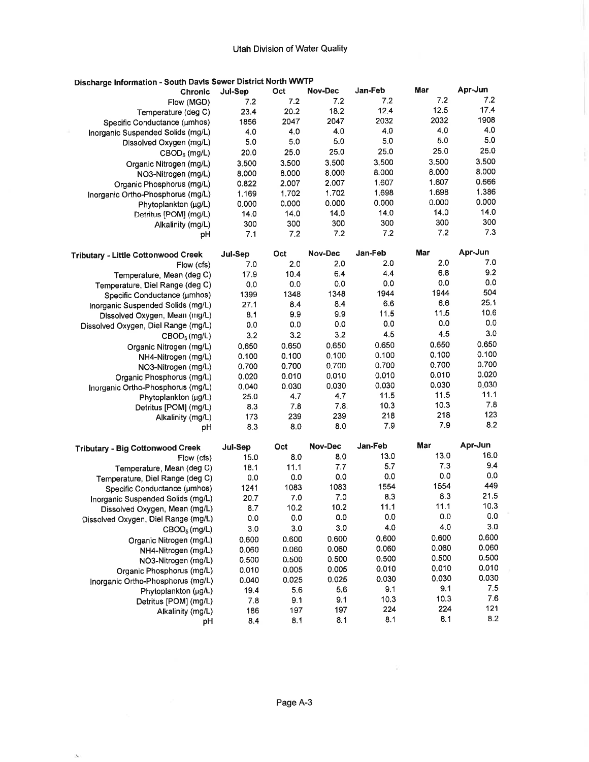| Discharge Information - South Davis Sewer District North WWTP |         |            |            |               |                |                |
|---------------------------------------------------------------|---------|------------|------------|---------------|----------------|----------------|
| Chronic                                                       | Jul-Sep | Oct        | Nov-Dec    | Jan-Feb       | Mar            | Apr-Jun        |
| Flow (MGD)                                                    | 7.2     | 7.2        | 7.2        | 7.2           | 7.2            | 7.2            |
| Temperature (deg C)                                           | 23.4    | 20.2       | 18.2       | 12.4          | 12.5           | 17.4           |
| Specific Conductance (umhos)                                  | 1856    | 2047       | 2047       | 2032          | 2032           | 1908<br>4.0    |
| Inorganic Suspended Solids (mg/L)                             | 4.0     | 4.0        | 4.0        | 4.0           | 4.0            | 5.0            |
| Dissolved Oxygen (mg/L)                                       | 5.0     | 5.0        | 5.0        | 5.0           | 5.0            | 25.0           |
| $CBOD5$ (mg/L)                                                | 20.0    | 25.0       | 25.0       | 25.0          | 25.0           |                |
| Organic Nitrogen (mg/L)                                       | 3.500   | 3.500      | 3.500      | 3,500         | 3.500          | 3.500          |
| NO3-Nitrogen (mg/L)                                           | 8.000   | 8.000      | 8.000      | 8.000         | 8.000          | 8.000<br>0.666 |
| Organic Phosphorus (mg/L)                                     | 0.822   | 2.007      | 2.007      | 1.607         | 1.607<br>1.698 | 1.386          |
| Inorganic Ortho-Phosphorus (mg/L)                             | 1.169   | 1.702      | 1.702      | 1.698         | 0.000          | 0.000          |
| Phytoplankton (µg/L)                                          | 0.000   | 0.000      | 0.000      | 0.000<br>14.0 | 14.0           | 14.0           |
| Detritus [POM] (mg/L)                                         | 14.0    | 14.0       | 14.0       | 300           | 300            | 300            |
| Alkalinity (mg/L)                                             | 300     | 300<br>7.2 | 300<br>7.2 | 7.2           | 7.2            | 7.3            |
| рH                                                            | 7.1     |            |            |               |                |                |
| <b>Tributary - Little Cottonwood Creek</b>                    | Jul-Sep | Oct        | Nov-Dec    | Jan-Feb       | Mar            | Apr-Jun        |
| Flow (cfs)                                                    | 7.0     | 2.0        | 2.0        | 2.0           | 2.0            | 7.0            |
| Temperature, Mean (deg C)                                     | 17.9    | 10.4       | 6.4        | 4.4           | 6.8            | 9.2            |
| Temperature, Diel Range (deg C)                               | 0.0     | 0.0        | 0.0        | 0.0           | 0.0            | 0.0            |
| Specific Conductance (umhos)                                  | 1399    | 1348       | 1348       | 1944          | 1944           | 504            |
| Inorganic Suspended Solids (mg/L)                             | 27.1    | 8.4        | 8.4        | 6.6           | 6.6            | 25.1           |
| Dissolved Oxygen, Mean (mg/L)                                 | 8.1     | 9.9        | 9,9        | 11.5          | 11.5           | 10.6           |
| Dissolved Oxygen, Diel Range (mg/L)                           | 0.0     | 0.0        | 0.0        | 0.0           | 0.0            | 0.0            |
| CBOD <sub>5</sub> (mg/L)                                      | 3.2     | 3.2        | 3.2        | 4.5           | 4.5            | 3.0            |
| Organic Nitrogen (mg/L)                                       | 0.650   | 0.650      | 0.650      | 0.650         | 0.650          | 0.650          |
| NH4-Nitrogen (mg/L)                                           | 0.100   | 0.100      | 0.100      | 0.100         | 0.100          | 0.100          |
| NO3-Nitrogen (mg/L)                                           | 0.700   | 0.700      | 0.700      | 0.700         | 0.700          | 0.700          |
| Organic Phosphorus (mg/L)                                     | 0.020   | 0.010      | 0.010      | 0.010         | 0.010          | 0.020          |
| Inorganic Ortho-Phosphorus (mg/L)                             | 0.040   | 0.030      | 0.030      | 0.030         | 0.030          | 0.030          |
| Phytoplankton (µg/L)                                          | 25.0    | 4.7        | 4.7        | 11.5          | 11.5           | 11.1           |
| Detritus [POM] (mg/L)                                         | 8.3     | 7.8        | 7.8        | 10.3          | 10.3           | 7.8            |
| Alkalinity (mg/L)                                             | 173     | 239        | 239        | 218           | 218            | 123<br>8.2     |
| рH                                                            | 8.3     | 8.0        | 8.0        | 7.9           | 7.9            |                |
| <b>Tributary - Big Cottonwood Creek</b>                       | Jul-Sep | Oct        | Nov-Dec    | Jan-Feb       | Mar            | Apr-Jun        |
| Flow (cfs)                                                    | 15.0    | 8.0        | 8.0        | 13.0          | 13.0           | 16.0           |
| Temperature, Mean (deg C)                                     | 18.1    | 11.1       | 7.7        | 5.7           | 7.3            | 9.4            |
| Temperature, Diel Range (deg C)                               | 0.0     | 0.0        | 0.0        | 0.0           | 0.0            | 0.0            |
| Specific Conductance (umhos)                                  | 1241    | 1083       | 1083       | 1554          | 1554           | 449            |
| Inorganic Suspended Solids (mg/L)                             | 20.7    | 7.0        | 7.0        | 8.3           | 8.3            | 21.5           |
| Dissolved Oxygen, Mean (mg/L)                                 | 8.7     | 10.2       | 10.2       | 11.1          | 11.1           | 10.3           |
| Dissolved Oxygen, Diel Range (mg/L)                           | 0.0     | $0.0\,$    | 0.0        | 0.0           | 0.0            | $0.0\,$        |
| CBOD <sub>5</sub> (mg/L)                                      | 3.0     | 3.0        | 3.0        | 4.0           | 4.0            | 3.0            |
| Organic Nitrogen (mg/L)                                       | 0.600   | 0.600      | 0.600      | 0.600         | 0.600          | 0.600          |
| NH4-Nitrogen (mg/L)                                           | 0.060   | 0.060      | 0.060      | 0.060         | 0.060          | 0.060          |
| NO3-Nitrogen (mg/L)                                           | 0.500   | 0.500      | 0.500      | 0.500         | 0.500          | 0.500          |
| Organic Phosphorus (mg/L)                                     | 0.010   | 0.005      | 0.005      | 0.010         | 0.010          | 0.010          |
| Inorganic Ortho-Phosphorus (mg/L)                             | 0.040   | 0.025      | 0.025      | 0.030         | 0.030          | 0.030          |
| Phytoplankton (µg/L)                                          | 19.4    | 5.6        | 5.6        | 9.1           | 9.1            | 7.5            |
| Detritus [POM] (mg/L)                                         | 7.8     | 9.1        | 9.1        | 10.3          | 10.3           | $7.6\,$        |
| Alkalinity (mg/L)                                             | 186     | 197        | 197        | 224           | 224            | 121            |
| pН                                                            | 8.4     | 8.1        | 8.1        | 8.1           | 8.1            | 8.2            |

 $\bar{S}$ 

 $\omega$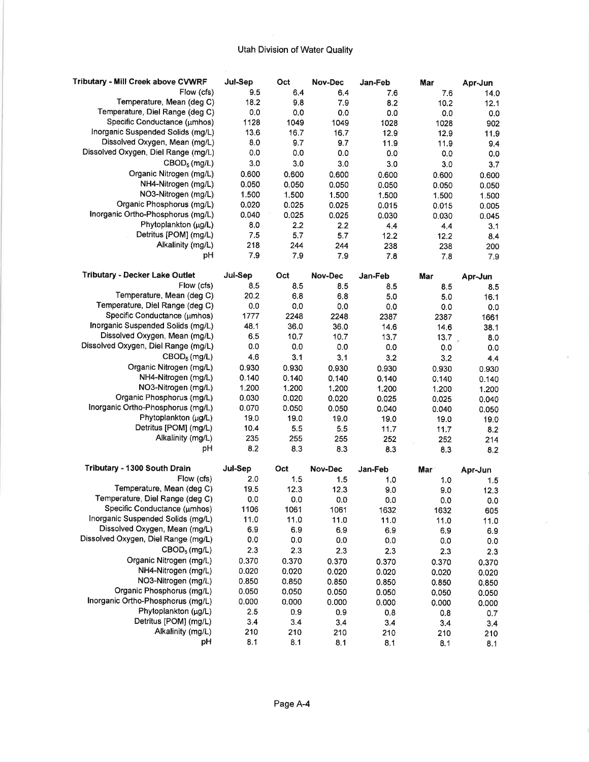| <b>Tributary - Mill Creek above CVWRF</b>  | Jul-Sep | Oct   | Nov-Dec | Jan-Feb | Mar            | Apr-Jun        |
|--------------------------------------------|---------|-------|---------|---------|----------------|----------------|
| Flow (cfs)                                 | 9.5     | 6.4   | 6.4     | 7.6     | 7.6            | 14.0           |
| Temperature, Mean (deg C)                  | 18.2    | 9.8   | 7.9     | 8.2     | 10.2           | 12.1           |
| Temperature, Diel Range (deg C)            | 0.0     | 0.0   | 0.0     | 0.0     | 0.0            | 0.0            |
| Specific Conductance (µmhos)               | 1128    | 1049  | 1049    | 1028    | 1028           | 902            |
| Inorganic Suspended Solids (mg/L)          | 13.6    | 16.7  | 16.7    | 12.9    | 12.9           | 11.9           |
| Dissolved Oxygen, Mean (mg/L)              | 8.0     | 9.7   | 9.7     | 11.9    | 11.9           | 9.4            |
| Dissolved Oxygen, Diel Range (mg/L)        | 0.0     | 0.0   | 0.0     | 0.0     | 0.0            | 0.0            |
| CBOD <sub>5</sub> (mg/L)                   | 3.0     | 3.0   | 3.0     | 3.0     | 3.0            | 3.7            |
| Organic Nitrogen (mg/L)                    | 0.600   | 0.600 | 0.600   | 0.600   | 0.600          | 0.600          |
| NH4-Nitrogen (mg/L)                        | 0.050   | 0.050 | 0.050   | 0.050   | 0.050          | 0.050          |
| NO3-Nitrogen (mg/L)                        | 1.500   | 1.500 | 1.500   | 1.500   | 1.500          | 1.500          |
| Organic Phosphorus (mg/L)                  | 0.020   | 0.025 | 0.025   | 0.015   | 0.015          | 0.005          |
| Inorganic Ortho-Phosphorus (mg/L)          | 0.040   | 0.025 | 0.025   | 0.030   | 0.030          | 0.045          |
| Phytoplankton (µg/L)                       | 8.0     | 2.2   | 2.2     | 4.4     | 4.4            | 3.1            |
| Detritus [POM] (mg/L)                      | 7.5     | 5.7   | 5.7     | 12.2    | 12.2           | 8,4            |
| Alkalinity (mg/L)                          | 218     | 244   | 244     | 238     | 238            | 200            |
| pН                                         | 7.9     | 7.9   | 7.9     | 7.8     | 7.8            | 7.9            |
| <b>Tributary - Decker Lake Outlet</b>      | Jul-Sep | Oct   | Nov-Dec | Jan-Feb | Mar            | Apr-Jun        |
| Flow (cfs)                                 | 8.5     | 8.5   | 8.5     | 8.5     | 8.5            | 8.5            |
| Temperature, Mean (deg C)                  | 20.2    | 6.8   | 6.8     | 5.0     | 5.0            | 16.1           |
| Temperature, Diel Range (deg C)            | 0.0     | 0.0   | 0.0     | 0.0     | 0.0            | 0.0            |
| Specific Conductance (µmhos)               | 1777    | 2248  | 2248    | 2387    | 2387           | 1661           |
| Inorganic Suspended Solids (mg/L)          | 48.1    | 36.0  | 36.0    | 14.6    | 14.6           | 38.1           |
| Dissolved Oxygen, Mean (mg/L)              | 6.5     | 10.7  | 10.7    | 13.7    | 13.7           | 8.0            |
| Dissolved Oxygen, Diel Range (mg/L)        | 0.0     | 0.0   | 0.0     | 0.0     | 0.0            | 0.0            |
| $\text{CBOD}_5 \left( \text{mg/L} \right)$ | 4.6     | 3.1   | 3.1     | 3,2     | 3.2            | 4.4            |
| Organic Nitrogen (mg/L)                    | 0.930   | 0.930 | 0.930   | 0.930   | 0.930          | 0.930          |
| NH4-Nitrogen (mg/L)                        | 0.140   | 0.140 | 0.140   | 0.140   | 0.140          | 0.140          |
| NO3-Nitrogen (mg/L)                        | 1.200   | 1,200 | 1.200   | 1.200   | 1.200          | 1.200          |
| Organic Phosphorus (mg/L)                  | 0.030   | 0.020 | 0.020   | 0.025   | 0.025          | 0.040          |
| Inorganic Ortho-Phosphorus (mg/L)          | 0.070   | 0.050 | 0.050   | 0.040   | 0.040          | 0.050          |
| Phytoplankton (µg/L)                       | 19.0    | 19.0  | 19.0    | 19.0    | 19.0           | 19.0           |
| Detritus [POM] (mg/L)                      | 10.4    | 5.5   | 5.5     | 11.7    | 11.7           | 8.2            |
| Alkalinity (mg/L)                          | 235     | 255   | 255     | 252     | 252            | 214            |
| рH                                         | 8.2     | 8.3   | 8.3     | 8.3     | 8.3            | 8.2            |
| Tributary - 1300 South Drain               | Jul-Sep | Oct   | Nov-Dec | Jan-Feb | <b>Mar</b>     | Apr-Jun        |
| Flow (cfs)                                 | 2.0     | 1.5   | 1.5     | 1.0     | 1.0            | 1.5            |
| Temperature, Mean (deg C)                  | 19.5    | 12.3  | 12.3    | 9.0     | 9.0            | 12.3           |
| Temperature, Diel Range (deg C)            | 0.0     | 0.0   | 0.0     | 0.0     | 0.0            | 0.0            |
| Specific Conductance (umhos)               | 1106    | 1061  | 1061    | 1632    | 1632           | 605            |
| Inorganic Suspended Solids (mg/L)          | 11.0    | 11.0  | 11.0    | 11.0    | 11.0           | 11.0           |
| Dissolved Oxygen, Mean (mg/L)              | 6.9     | 6.9   | 6.9     | 6.9     | 6.9            | 6.9            |
| Dissolved Oxygen, Diel Range (mg/L)        | 0.0     | 0.0   | 0.0     | 0.0     | 0.0            | 0.0            |
| CBOD <sub>5</sub> (mg/L)                   | 2.3     | 2.3   | 2.3     | 2.3     | 2.3            | 2.3            |
| Organic Nitrogen (mg/L)                    | 0.370   | 0.370 | 0.370   | 0.370   | 0.370          | 0.370          |
| NH4-Nitrogen (mg/L)                        | 0.020   | 0.020 | 0.020   | 0.020   |                |                |
| NO3-Nitrogen (mg/L)                        | 0.850   | 0.850 | 0.850   | 0.850   | 0.020<br>0.850 | 0.020<br>0.850 |
| Organic Phosphorus (mg/L)                  | 0.050   | 0.050 | 0.050   | 0.050   |                |                |
| Inorganic Ortho-Phosphorus (mg/L)          | 0.000   | 0.000 | 0.000   | 0.000   | 0.050          | 0.050          |
| Phytoplankton (µg/L)                       | 2.5     | 0.9   | 0.9     | 0.8     | 0.000          | 0.000          |
| Detritus [POM] (mg/L)                      | 3.4     | 3.4   | 3.4     | 3.4     | 0.8            | 0.7            |
| Alkalinity (mg/L)                          | 210     | 210   | 210     | 210     | 3.4<br>210     | 3.4            |
| рH                                         | 8.1     | 8.1   | 8.1     | 8.1     | 8.1            | 210<br>8.1     |
|                                            |         |       |         |         |                |                |

÷,

 $\sim$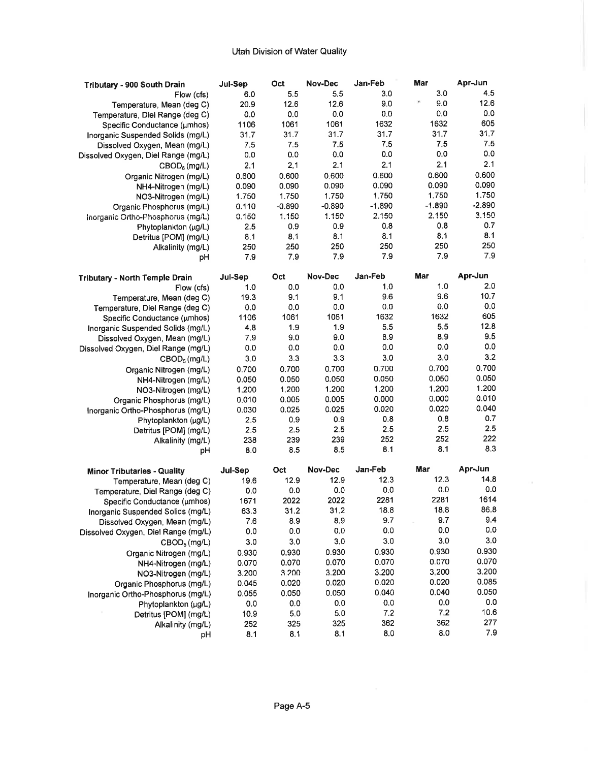| Tributary - 900 South Drain                               | Jul-Sep | Oct      | Nov-Dec  | Jan-Feb  | Mar      | Apr-Jun  |
|-----------------------------------------------------------|---------|----------|----------|----------|----------|----------|
| Flow (cfs)                                                | 6.0     | 5.5      | 5.5      | 3.0      | 3.0      | 4.5      |
| Temperature, Mean (deg C)                                 | 20.9    | 12.6     | 12.6     | 9.0      | ×<br>9.0 | 12.6     |
| Temperature, Diel Range (deg C)                           | 0.0     | 0.0      | 0.0      | 0.0      | 0.0      | 0.0      |
| Specific Conductance (umhos)                              | 1106    | 1061     | 1061     | 1632     | 1632     | 605      |
| Inorganic Suspended Solids (mg/L)                         | 31.7    | 31.7     | 31.7     | 31.7     | 31.7     | 31.7     |
| Dissolved Oxygen, Mean (mg/L)                             | 7.5     | 7.5      | 7.5      | 7.5      | 7.5      | 7.5      |
| Dissolved Oxygen, Diel Range (mg/L)                       | 0.0     | 0.0      | 0.0      | 0.0      | 0.0      | 0.0      |
| $CBOD6$ (mg/L)                                            | 2,1     | 2,1      | 2.1      | 2.1      | 2.1      | 2.1      |
| Organic Nitrogen (mg/L)                                   | 0.600   | 0.600    | 0.600    | 0.600    | 0.600    | 0.600    |
| NH4-Nitrogen (mg/L)                                       | 0.090   | 0.090    | 0.090    | 0.090    | 0.090    | 0.090    |
| NO3-Nitrogen (mg/L)                                       | 1.750   | 1.750    | 1.750    | 1.750    | 1.750    | 1.750    |
| Organic Phosphorus (mg/L)                                 | 0.110   | $-0.890$ | $-0.890$ | $-1.890$ | $-1.890$ | $-2.890$ |
| Inorganic Ortho-Phosphorus (mg/L)                         | 0.150   | 1.150    | 1.150    | 2.150    | 2.150    | 3.150    |
| Phytoplankton (µg/L)                                      | 2.5     | 0.9      | 0.9      | 0.8      | 0.8      | 0.7      |
| Detritus [POM] (mg/L)                                     | 8.1     | 8.1      | 8.1      | 8.1      | 8,1      | 8.1      |
| Alkalinity (mg/L)                                         | 250     | 250      | 250      | 250      | 250      | 250      |
| рH                                                        | 7.9     | 7.9      | 7.9      | 7.9      | 7.9      | 7.9      |
|                                                           |         |          |          |          |          |          |
| <b>Tributary - North Temple Drain</b>                     | Jul-Sep | Oct      | Nov-Dec  | Jan-Feb  | Mar      | Apr-Jun  |
| Flow (cfs)                                                | 1.0     | 0.0      | 0.0      | 1.0      | 1.0      | 2,0      |
| Temperature, Mean (deg C)                                 | 19.3    | 9.1      | 9.1      | 9.6      | 9.6      | 10.7     |
| Temperature, Diel Range (deg C)                           | 0.0     | 0,0      | 0,0      | 0.0      | 0.0      | 0.0      |
| Specific Conductance (umhos)                              | 1106    | 1061     | 1061     | 1632     | 1632     | 605      |
| Inorganic Suspended Solids (mg/L)                         | 4.8     | 1.9      | 1.9      | 5.5      | 5.5      | 12.8     |
| Dissolved Oxygen, Mean (mg/L)                             | 7.9     | 9.0      | 9.0      | 8.9      | 8.9      | 9.5      |
| Dissolved Oxygen, Diel Range (mg/L)                       | 0.0     | 0.0      | 0.0      | 0.0      | 0.0      | 0.0      |
| CBOD <sub>5</sub> (mg/L)                                  | 3.0     | 3.3      | 3.3      | 3.0      | 3.0      | 3.2      |
| Organic Nitrogen (mg/L)                                   | 0.700   | 0.700    | 0.700    | 0.700    | 0.700    | 0.700    |
|                                                           | 0.050   | 0.050    | 0.050    | 0.050    | 0.050    | 0.050    |
| NH4-Nitrogen (mg/L)                                       | 1.200   | 1.200    | 1.200    | 1.200    | 1.200    | 1.200    |
| NO3-Nitrogen (mg/L)                                       | 0.010   | 0.005    | 0.005    | 0.000    | 0.000    | 0.010    |
| Organic Phosphorus (mg/L)                                 | 0.030   | 0.025    | 0.025    | 0.020    | 0.020    | 0.040    |
| Inorganic Ortho-Phosphorus (mg/L)<br>Phytoplankton (µg/L) | 2.5     | 0.9      | 0.9      | 0.8      | 0.8      | 0.7      |
| Detritus [POM] (mg/L)                                     | 2.5     | 2.5      | 2.5      | 2.5      | 2.5      | 2.5      |
| Alkalinity (mg/L)                                         | 238     | 239      | 239      | 252      | 252      | 222      |
| рH                                                        | 8.0     | 8.5      | 8.5      | 8.1      | 8.1      | 8.3      |
|                                                           |         |          |          |          |          |          |
| <b>Minor Tributaries - Quality</b>                        | Jul-Sep | Oct      | Nov-Dec  | Jan-Feb  | Mar      | Apr-Jun  |
| Temperature, Mean (deg C)                                 | 19.6    | 12.9     | 12.9     | 12.3     | 12.3     | 14.8     |
| Temperature, Diel Range (deg C)                           | 0.0     | 0.0      | 0.0      | 0.0      | 0.0      | 0.0      |
| Specific Conductance (umhos)                              | 1671    | 2022     | 2022     | 2281     | 2281     | 1614     |
| Inorganic Suspended Solids (mg/L)                         | 63.3    | 31.2     | 31.2     | 18.8     | 18.8     | 86.8     |
| Dissolved Oxygen, Mean (mg/L)                             | 7.6     | 8.9      | 8.9      | 9.7      | 9.7      | 9.4      |
| Dissolved Oxygen, Diel Range (mg/L)                       | 0.0     | 0.0      | 0.0      | 0.0      | 0.0      | $0.0\,$  |
|                                                           | 3.0     | 3.0      | 3.0      | 3.0      | 3.0      | 3.0      |
| CBOD <sub>5</sub> (mg/L)                                  |         | 0.930    | 0.930    | 0.930    | 0.930    | 0.930    |
| Organic Nitrogen (mg/L)                                   | 0.930   | 0.070    | 0.070    | 0.070    | 0.070    | 0.070    |
| NH4-Nitrogen (mg/L)                                       | 0.070   |          | 3.200    | 3.200    | 3,200    | 3.200    |
| NO3-Nitrogen (mg/L)                                       | 3.200   | 3.200    |          | 0.020    | 0.020    | 0.085    |
| Organic Phosphorus (mg/L)                                 | 0.045   | 0.020    | 0.020    |          | 0.040    | 0.050    |
| Inorganic Ortho-Phosphorus (mg/L)                         | 0.055   | 0.050    | 0.050    | 0.040    | 0.0      | 0.0      |
| Phytoplankton (µg/L)                                      | 0.0     | 0.0      | 0.0      | 0.0      | 7.2      | 10.6     |
| Detritus [POM] (mg/L)                                     | 10.9    | 5.0      | 5.0      | 7.2      | 362      | 277      |
| Alkalinity (mg/L)                                         | 252     | 325      | 325      | 362      | 8.0      | 7.9      |
| pH                                                        | 8.1     | 8.1      | 8.1      | 8.0      |          |          |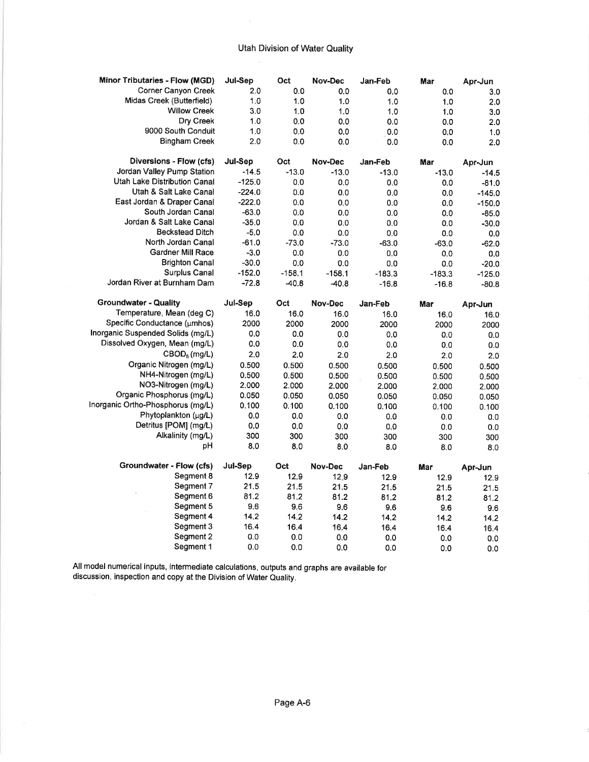| Minor Tributaries - Flow (MGD)    | Jul-Sep  | Oct      | <b>Nov-Dec</b> | Jan-Feb  | Mar      | Apr-Jun  |
|-----------------------------------|----------|----------|----------------|----------|----------|----------|
| <b>Corner Canyon Creek</b>        | 2.0      | 0,0      | 0.0            | 0.0      | 0.0      | 3.0      |
| Midas Creek (Butterfield)         | 1.0      | 1.0      | 1.0            | 1.0      | 1.0      | 2.0      |
| <b>Willow Creek</b>               | 3.0      | 1.0      | 1.0            | 1,0      | 1.0      | 3.0      |
| Dry Creek                         | 1.0      | 0.0      | 0.0            | 0.0      | 0.0      | 2.0      |
| 9000 South Conduit                | 1.0      | 0.0      | 0.0            | 0.0      | 0.0      | 1.0      |
| <b>Bingham Creek</b>              | 2.0      | 0.0      | 0.0            | 0.0      | 0.0      | 2.0      |
| Diversions - Flow (cfs)           | Jul-Sep  | Oct      | Nov-Dec        | Jan-Feb  | Mar      | Apr-Jun  |
| Jordan Valley Pump Station        | $-14.5$  | $-13.0$  | $-13.0$        | $-13.0$  | $-13.0$  | $-14.5$  |
| Utah Lake Distribution Canal      | $-125.0$ | 0.0      | 0.0            | 0.0      | 0.0      | $-81.0$  |
| Utah & Salt Lake Canal            | $-224.0$ | 0.0      | 0.0            | 0.0      | 0.0      | $-145.0$ |
| East Jordan & Draper Canal        | $-222.0$ | 0.0      | 0.0            | 0.0      | 0.0      | $-150.0$ |
| South Jordan Canal                | $-63.0$  | 0.0      | 0.0            | 0.0      | 0.0      | $-85.0$  |
| Jordan & Salt Lake Canal          | $-35.0$  | 0.0      | 0.0            | 0.0      | 0.0      | $-30.0$  |
| <b>Beckstead Ditch</b>            | $-5.0$   | 0.0      | 0.0            | 0.0      | 0.0      | 0.0      |
| North Jordan Canal                | $-61.0$  | $-73.0$  | $-73.0$        | $-63.0$  | $-63.0$  | $-62.0$  |
| <b>Gardner Mill Race</b>          | $-3.0$   | 0.0      | 0.0            | 0.0      | 0,0      | 0.0      |
| <b>Brighton Canal</b>             | $-30.0$  | 0.0      | 0.0            | 0.0      | 0.0      | $-20.0$  |
| Surplus Canal                     | $-152.0$ | $-158.1$ | $-158.1$       | $-183.3$ | $-183.3$ | $-125.0$ |
| Jordan River at Burnham Dam       | $-72.8$  | $-40.8$  | $-40.8$        | $-16.8$  | $-16.8$  | $-80.8$  |
| <b>Groundwater - Quality</b>      | Jul-Sep  | Oct      | Nov-Dec        | Jan-Feb  | Mar      | Apr-Jun  |
| Temperature, Mean (deg C)         | 16.0     | 16.0     | 16.0           | 16.0     | 16.0     | 16.0     |
| Specific Conductance (µmhos)      | 2000     | 2000     | 2000           | 2000     | 2000     | 2000     |
| Inorganic Suspended Solids (mg/L) | 0.0      | 0.0      | 0.0            | 0.0      | 0.0      | 0.0      |
| Dissolved Oxygen, Mean (mg/L)     | 0.0      | 0.0      | 0.0            | 0.0      | 0.0      | 0.0      |
| $CBOD_5$ (mg/L)                   | 2.0      | 2.0      | 2.0            | 2.0      | 2.0      | 2.0      |
| Organic Nitrogen (mg/L)           | 0.500    | 0.500    | 0.500          | 0.500    | 0.500    | 0.500    |
| NH4-Nitrogen (mg/L)               | 0.500    | 0.500    | 0.500          | 0.500    | 0.500    | 0.500    |
| NO3-Nitrogen (mg/L)               | 2.000    | 2.000    | 2,000          | 2.000    | 2.000    | 2.000    |
| Organic Phosphorus (mg/L)         | 0.050    | 0.050    | 0.050          | 0.050    | 0.050    | 0.050    |
| Inorganic Ortho-Phosphorus (mg/L) | 0.100    | 0.100    | 0.100          | 0.100    | 0.100    | 0.100    |
| Phytoplankton (µg/L)              | 0.0      | 0.0      | 0.0            | 0.0      | 0.0      | 0.0      |
| Detritus [POM] (mg/L)             | 0.0      | 0.0      | 0.0            | 0,0      | 0.0      | 0.0      |
| Alkalinity (mg/L)                 | 300      | 300      | 300            | 300      | 300      | 300      |
| pН                                | 8.0      | 8.0      | 8.0            | 8.0      | 8.0      | 8.0      |
| Groundwater - Flow (cfs)          | Jul-Sep  | Oct      | Nov-Dec        | Jan-Feb  | Mar      | Apr-Jun  |
| Segment 8                         | 12.9     | 12.9     | 12.9           | 12.9     | 12.9     | 12.9     |
| Segment 7                         | 21.5     | 21.5     | 21.5           | 21.5     | 21.5     | 21.5     |
| Segment 6                         | 81.2     | 81.2     | 81.2           | 81,2     | 81.2     | 81.2     |
| Segment 5                         | 9.6      | 9.6      | 9.6            | 9.6      | 9.6      | 9.6      |
| Segment 4                         | 14.2     | 14.2     | 14.2           | 14.2     | 14.2     | 14.2     |
| Segment 3                         | 16.4     | 16.4     | 16.4           | 16.4     | 16.4     | 16.4     |
| Segment 2                         | 0.0      | 0.0      | 0.0            | 0.0      | 0.0      | 0.0      |
| Segment 1                         | 0.0      | 0.0      | 0.0            | 0.0      | 0.0      | 0.0      |

All model numerical inputs, intermediate calculations, outputs and graphs are available for discussion, inspection and copy at the Division of Water Quality.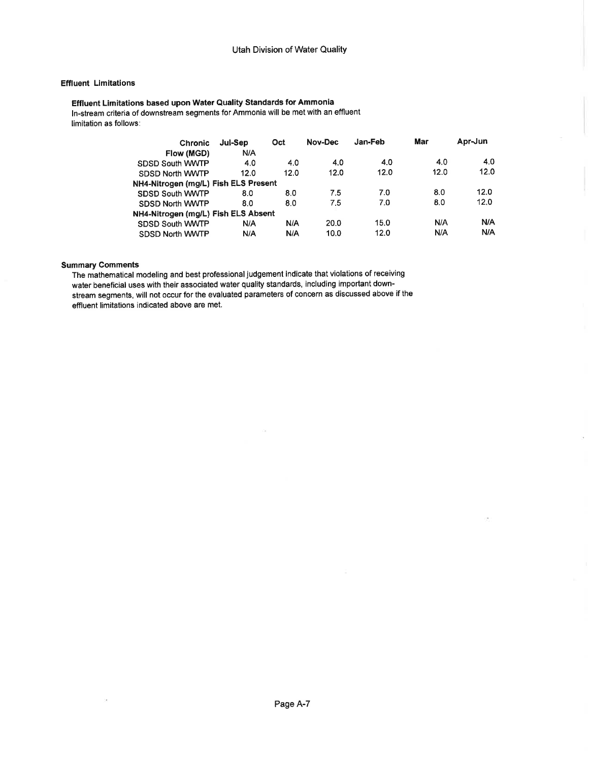### **Effluent Limitations**

### Effluent Limitations based upon Water Quality Standards for Ammonia ln-stream criteria of downstream segments for Ammonia will be met with an effluent limitation as follows:

| <b>Chronic</b>                       | Jul-Sep | Oct  | Nov-Dec | Jan-Feb | Mar  | Apr-Jun |
|--------------------------------------|---------|------|---------|---------|------|---------|
| Flow (MGD)                           | N/A     |      |         |         |      |         |
| SDSD South WWTP                      | 4.0     | 4.0  | 4.0     | 4.0     | 4.0  | 4.0     |
| SDSD North WWTP                      | 12.0    | 12.0 | 12.0    | 12.0    | 12.0 | 12.0    |
| NH4-Nitrogen (mg/L) Fish ELS Present |         |      |         |         |      |         |
| <b>SDSD South WWTP</b>               | 8.0     | 8.0  | 7.5     | 7.0     | 8.0  | 12.0    |
| <b>SDSD North WWTP</b>               | 8.0     | 8.0  | 7.5     | 7.0     | 8.0  | 12.0    |
| NH4-Nitrogen (mg/L) Fish ELS Absent  |         |      |         |         |      |         |
| <b>SDSD South WWTP</b>               | N/A     | N/A  | 20.0    | 15.0    | N/A  | N/A     |
| <b>SDSD North WWTP</b>               | N/A     | N/A  | 10.0    | 12.0    | N/A  | N/A     |

### Summary Comments

 $\bar{\alpha}$ 

The mathematical modeling and best professional judgement indicate that violations of receiving water beneficial uses with their associated water quality standards, including important downstream segments, will not occur for the evaluated parameters of concern as discussed above if the effluent limitations indicated above are met.

 $\bar{\alpha}$ 

i,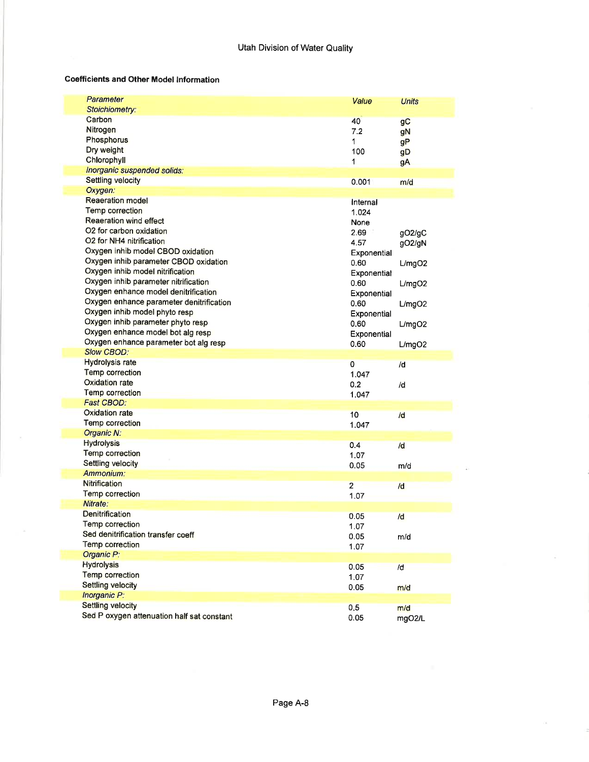## Coefficients and Other Model lnformation

| Parameter                                  | Value          | <b>Units</b> |
|--------------------------------------------|----------------|--------------|
| Stoichiometry:                             |                |              |
| Carbon                                     | 40             | gC           |
| <b>Nitrogen</b>                            | 7.2            | gN           |
| <b>Phosphorus</b>                          | 1              | gP           |
| Dry weight                                 | 100            | gD           |
| Chlorophyll                                | 1              | gA           |
| Inorganic suspended solids:                |                |              |
| <b>Settling velocity</b>                   | 0.001          | m/d          |
| Oxygen:                                    |                |              |
| <b>Reaeration model</b>                    | Internal       |              |
| <b>Temp correction</b>                     | 1.024          |              |
| Reaeration wind effect                     | None           |              |
| O2 for carbon oxidation                    | 2.69           | qO2/qC       |
| O2 for NH4 nitrification                   | 4.57           |              |
| Oxygen inhib model CBOD oxidation          |                | gO2/gN       |
| Oxygen inhib parameter CBOD oxidation      | Exponential    |              |
| Oxygen inhib model nitrification           | 0.60           | L/mgO2       |
|                                            | Exponential    |              |
| Oxygen inhib parameter nitrification       | 0.60           | L/mgO2       |
| Oxygen enhance model denitrification       | Exponential    |              |
| Oxygen enhance parameter denitrification   | 0.60           | L/mgO2       |
| Oxygen inhib model phyto resp              | Exponential    |              |
| Oxygen inhib parameter phyto resp          | 0.60           | L/mgO2       |
| Oxygen enhance model bot alg resp          | Exponential    |              |
| Oxygen enhance parameter bot alg resp      | 0.60           | L/mgO2       |
| <b>Slow CBOD:</b>                          |                |              |
| <b>Hydrolysis rate</b>                     | 0              | /d           |
| <b>Temp correction</b>                     | 1.047          |              |
| <b>Oxidation rate</b>                      | 0.2            | /d           |
| <b>Temp correction</b>                     | 1.047          |              |
| <b>Fast CBOD:</b>                          |                |              |
| Oxidation rate                             | 10             | /d           |
| <b>Temp correction</b>                     | 1.047          |              |
| Organic N:                                 |                |              |
| <b>Hydrolysis</b>                          | 0.4            |              |
| <b>Temp correction</b>                     | 1.07           | /d           |
| Settling velocity                          |                |              |
| Ammonium:                                  | 0.05           | m/d          |
| <b>Nitrification</b>                       |                |              |
| Temp correction                            | $\overline{2}$ | /d           |
| Nitrate:                                   | 1.07           |              |
| <b>Denitrification</b>                     |                |              |
|                                            | 0.05           | /d           |
| Temp correction                            | 1.07           |              |
| Sed denitrification transfer coeff         | 0.05           | m/d          |
| Temp correction                            | 1.07           |              |
| Organic P:                                 |                |              |
| <b>Hydrolysis</b>                          | 0.05           | /d           |
| Temp correction                            | 1.07           |              |
| <b>Settling velocity</b>                   | 0.05           | m/d          |
| Inorganic P:                               |                |              |
| <b>Settling velocity</b>                   | 0.5            | m/d          |
| Sed P oxygen attenuation half sat constant | 0.05           | mgO2/L       |
|                                            |                |              |

 $\geq$ 

 $\alpha$ 

ä